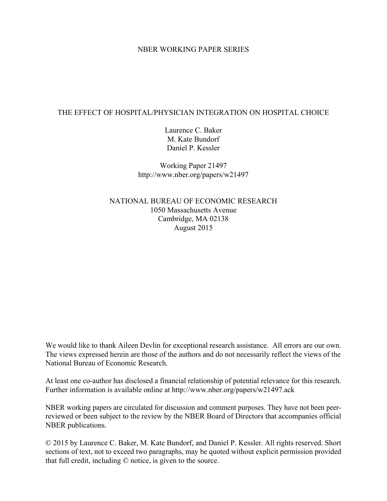#### NBER WORKING PAPER SERIES

## THE EFFECT OF HOSPITAL/PHYSICIAN INTEGRATION ON HOSPITAL CHOICE

Laurence C. Baker M. Kate Bundorf Daniel P. Kessler

Working Paper 21497 http://www.nber.org/papers/w21497

NATIONAL BUREAU OF ECONOMIC RESEARCH 1050 Massachusetts Avenue Cambridge, MA 02138 August 2015

We would like to thank Aileen Devlin for exceptional research assistance. All errors are our own. The views expressed herein are those of the authors and do not necessarily reflect the views of the National Bureau of Economic Research.

At least one co-author has disclosed a financial relationship of potential relevance for this research. Further information is available online at http://www.nber.org/papers/w21497.ack

NBER working papers are circulated for discussion and comment purposes. They have not been peerreviewed or been subject to the review by the NBER Board of Directors that accompanies official NBER publications.

© 2015 by Laurence C. Baker, M. Kate Bundorf, and Daniel P. Kessler. All rights reserved. Short sections of text, not to exceed two paragraphs, may be quoted without explicit permission provided that full credit, including © notice, is given to the source.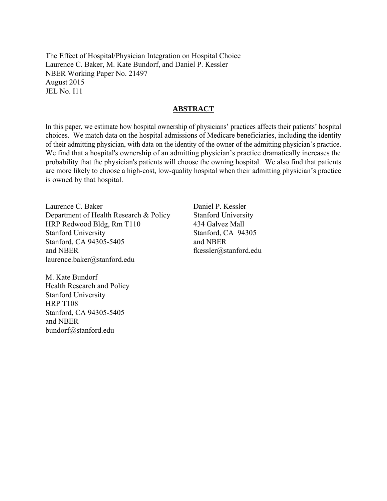The Effect of Hospital/Physician Integration on Hospital Choice Laurence C. Baker, M. Kate Bundorf, and Daniel P. Kessler NBER Working Paper No. 21497 August 2015 JEL No. I11

#### **ABSTRACT**

In this paper, we estimate how hospital ownership of physicians' practices affects their patients' hospital choices. We match data on the hospital admissions of Medicare beneficiaries, including the identity of their admitting physician, with data on the identity of the owner of the admitting physician's practice. We find that a hospital's ownership of an admitting physician's practice dramatically increases the probability that the physician's patients will choose the owning hospital. We also find that patients are more likely to choose a high-cost, low-quality hospital when their admitting physician's practice is owned by that hospital.

Laurence C. Baker Department of Health Research & Policy HRP Redwood Bldg, Rm T110 Stanford University Stanford, CA 94305-5405 and NBER laurence.baker@stanford.edu

M. Kate Bundorf Health Research and Policy Stanford University HRP T108 Stanford, CA 94305-5405 and NBER bundorf@stanford.edu

Daniel P. Kessler Stanford University 434 Galvez Mall Stanford, CA 94305 and NBER fkessler@stanford.edu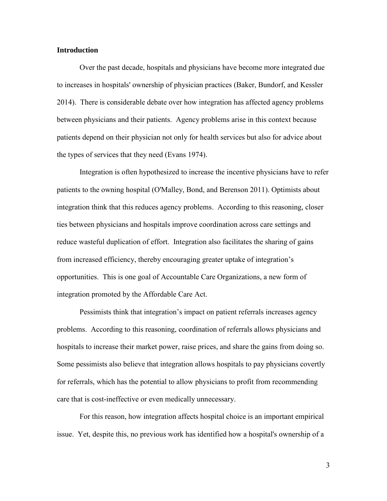#### **Introduction**

Over the past decade, hospitals and physicians have become more integrated due to increases in hospitals' ownership of physician practices (Baker, Bundorf, and Kessler 2014). There is considerable debate over how integration has affected agency problems between physicians and their patients. Agency problems arise in this context because patients depend on their physician not only for health services but also for advice about the types of services that they need (Evans 1974).

Integration is often hypothesized to increase the incentive physicians have to refer patients to the owning hospital (O'Malley, Bond, and Berenson 2011). Optimists about integration think that this reduces agency problems. According to this reasoning, closer ties between physicians and hospitals improve coordination across care settings and reduce wasteful duplication of effort. Integration also facilitates the sharing of gains from increased efficiency, thereby encouraging greater uptake of integration's opportunities. This is one goal of Accountable Care Organizations, a new form of integration promoted by the Affordable Care Act.

Pessimists think that integration's impact on patient referrals increases agency problems. According to this reasoning, coordination of referrals allows physicians and hospitals to increase their market power, raise prices, and share the gains from doing so. Some pessimists also believe that integration allows hospitals to pay physicians covertly for referrals, which has the potential to allow physicians to profit from recommending care that is cost-ineffective or even medically unnecessary.

For this reason, how integration affects hospital choice is an important empirical issue. Yet, despite this, no previous work has identified how a hospital's ownership of a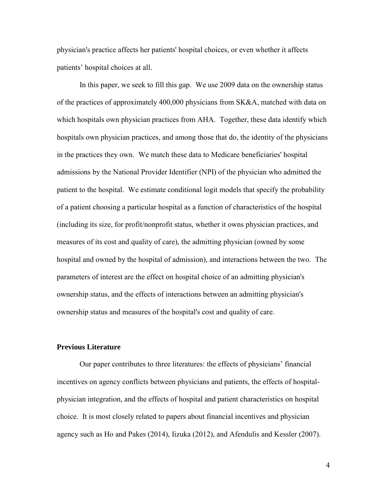physician's practice affects her patients' hospital choices, or even whether it affects patients' hospital choices at all.

In this paper, we seek to fill this gap. We use 2009 data on the ownership status of the practices of approximately 400,000 physicians from SK&A, matched with data on which hospitals own physician practices from AHA. Together, these data identify which hospitals own physician practices, and among those that do, the identity of the physicians in the practices they own. We match these data to Medicare beneficiaries' hospital admissions by the National Provider Identifier (NPI) of the physician who admitted the patient to the hospital. We estimate conditional logit models that specify the probability of a patient choosing a particular hospital as a function of characteristics of the hospital (including its size, for profit/nonprofit status, whether it owns physician practices, and measures of its cost and quality of care), the admitting physician (owned by some hospital and owned by the hospital of admission), and interactions between the two. The parameters of interest are the effect on hospital choice of an admitting physician's ownership status, and the effects of interactions between an admitting physician's ownership status and measures of the hospital's cost and quality of care.

#### **Previous Literature**

Our paper contributes to three literatures: the effects of physicians' financial incentives on agency conflicts between physicians and patients, the effects of hospitalphysician integration, and the effects of hospital and patient characteristics on hospital choice. It is most closely related to papers about financial incentives and physician agency such as Ho and Pakes (2014), Iizuka (2012), and Afendulis and Kessler (2007).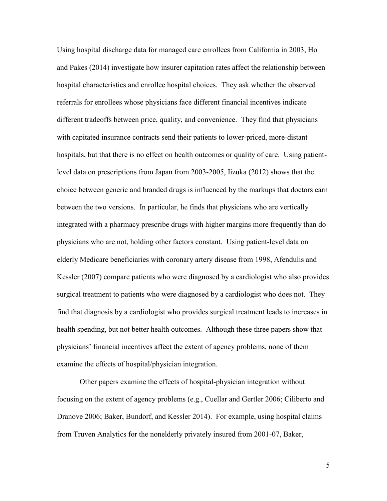Using hospital discharge data for managed care enrollees from California in 2003, Ho and Pakes (2014) investigate how insurer capitation rates affect the relationship between hospital characteristics and enrollee hospital choices. They ask whether the observed referrals for enrollees whose physicians face different financial incentives indicate different tradeoffs between price, quality, and convenience. They find that physicians with capitated insurance contracts send their patients to lower-priced, more-distant hospitals, but that there is no effect on health outcomes or quality of care. Using patientlevel data on prescriptions from Japan from 2003-2005, Iizuka (2012) shows that the choice between generic and branded drugs is influenced by the markups that doctors earn between the two versions. In particular, he finds that physicians who are vertically integrated with a pharmacy prescribe drugs with higher margins more frequently than do physicians who are not, holding other factors constant. Using patient-level data on elderly Medicare beneficiaries with coronary artery disease from 1998, Afendulis and Kessler (2007) compare patients who were diagnosed by a cardiologist who also provides surgical treatment to patients who were diagnosed by a cardiologist who does not. They find that diagnosis by a cardiologist who provides surgical treatment leads to increases in health spending, but not better health outcomes. Although these three papers show that physicians' financial incentives affect the extent of agency problems, none of them examine the effects of hospital/physician integration.

Other papers examine the effects of hospital-physician integration without focusing on the extent of agency problems (e.g., Cuellar and Gertler 2006; Ciliberto and Dranove 2006; Baker, Bundorf, and Kessler 2014). For example, using hospital claims from Truven Analytics for the nonelderly privately insured from 2001-07, Baker,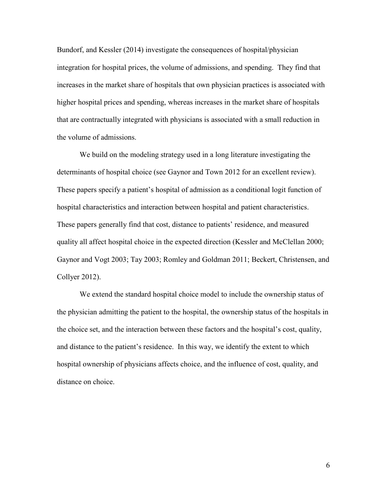Bundorf, and Kessler (2014) investigate the consequences of hospital/physician integration for hospital prices, the volume of admissions, and spending. They find that increases in the market share of hospitals that own physician practices is associated with higher hospital prices and spending, whereas increases in the market share of hospitals that are contractually integrated with physicians is associated with a small reduction in the volume of admissions.

We build on the modeling strategy used in a long literature investigating the determinants of hospital choice (see Gaynor and Town 2012 for an excellent review). These papers specify a patient's hospital of admission as a conditional logit function of hospital characteristics and interaction between hospital and patient characteristics. These papers generally find that cost, distance to patients' residence, and measured quality all affect hospital choice in the expected direction (Kessler and McClellan 2000; Gaynor and Vogt 2003; Tay 2003; Romley and Goldman 2011; Beckert, Christensen, and Collyer 2012).

We extend the standard hospital choice model to include the ownership status of the physician admitting the patient to the hospital, the ownership status of the hospitals in the choice set, and the interaction between these factors and the hospital's cost, quality, and distance to the patient's residence. In this way, we identify the extent to which hospital ownership of physicians affects choice, and the influence of cost, quality, and distance on choice.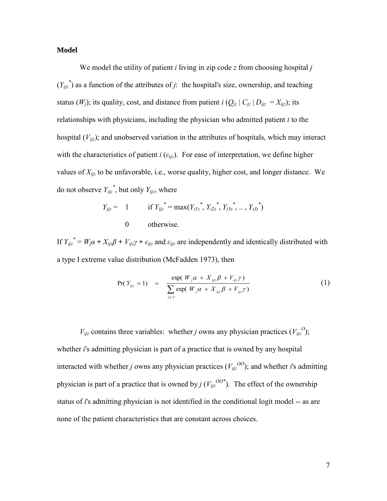## **Model**

We model the utility of patient *i* living in zip code *z* from choosing hospital *j*  $(Y_{ijz}^*)$  as a function of the attributes of *j*: the hospital's size, ownership, and teaching status (*W<sub>j</sub>*); its quality, cost, and distance from patient *i* ( $Q_{jz} | C_{jz} | D_{ijz} = X_{ijz}$ ); its relationships with physicians, including the physician who admitted patient *i* to the hospital (*Vijz*); and unobserved variation in the attributes of hospitals, which may interact with the characteristics of patient *i* ( $\varepsilon_{iiz}$ ). For ease of interpretation, we define higher values of *Xijz* to be unfavorable, i.e., worse quality, higher cost, and longer distance. We do not observe  $Y_{ijz}^*$ , but only  $Y_{ijz}$ , where

$$
Y_{ijz} = 1 \t\t \text{if } Y_{ijz}^* = \max(Y_{i1z}^*, Y_{i2z}^*, Y_{i3z}^*, \dots, Y_{iJz}^*)
$$
  
0 otherwise.

If  $Y_{ijz}^* = W_j \alpha + X_{ijz}\beta + V_{ijz}\gamma + \varepsilon_{ijz}$  and  $\varepsilon_{ijz}$  are independently and identically distributed with a type I extreme value distribution (McFadden 1973), then

$$
Pr(Y_{ijz} = 1) = \frac{\exp(W_j \alpha + X_{ijz} \beta + V_{ijz} \gamma)}{\sum_{j \in J} \exp(W_j \alpha + X_{ijz} \beta + V_{ijz} \gamma)}
$$
(1)

 $V_{ijz}$  contains three variables: whether *j* owns any physician practices  $(V_{ijz}^O)$ ; whether *i*'s admitting physician is part of a practice that is owned by any hospital interacted with whether *j* owns any physician practices  $(V_{ij}^{OO})$ ; and whether *i*'s admitting physician is part of a practice that is owned by  $j(V_{ij}^{OO*})$ . The effect of the ownership status of *i*'s admitting physician is not identified in the conditional logit model -- as are none of the patient characteristics that are constant across choices.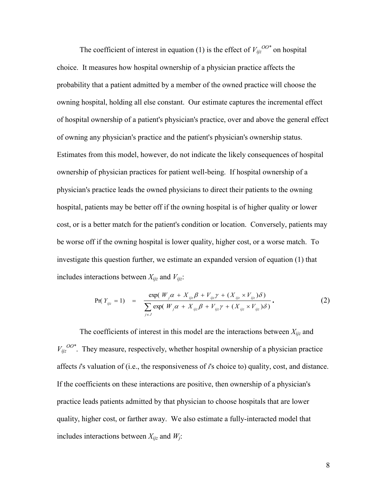The coefficient of interest in equation (1) is the effect of  $V_{ijz}^{OO*}$  on hospital choice. It measures how hospital ownership of a physician practice affects the probability that a patient admitted by a member of the owned practice will choose the owning hospital, holding all else constant. Our estimate captures the incremental effect of hospital ownership of a patient's physician's practice, over and above the general effect of owning any physician's practice and the patient's physician's ownership status. Estimates from this model, however, do not indicate the likely consequences of hospital ownership of physician practices for patient well-being. If hospital ownership of a physician's practice leads the owned physicians to direct their patients to the owning hospital, patients may be better off if the owning hospital is of higher quality or lower cost, or is a better match for the patient's condition or location. Conversely, patients may be worse off if the owning hospital is lower quality, higher cost, or a worse match. To investigate this question further, we estimate an expanded version of equation (1) that includes interactions between  $X_{ijz}$  and  $V_{ijz}$ :

$$
Pr(Y_{ijz} = 1) = \frac{\exp(W_j \alpha + X_{ijz}\beta + V_{ijz}\gamma + (X_{ijz} \times V_{ijz})\delta)}{\sum_{j \in J} \exp(W_j \alpha + X_{ijz}\beta + V_{ijz}\gamma + (X_{ijz} \times V_{ijz})\delta)}.
$$
 (2)

The coefficients of interest in this model are the interactions between  $X_{ijz}$  and  $V_{ijz}^{OO*}$ . They measure, respectively, whether hospital ownership of a physician practice affects *i*'s valuation of (i.e., the responsiveness of *i*'s choice to) quality, cost, and distance. If the coefficients on these interactions are positive, then ownership of a physician's practice leads patients admitted by that physician to choose hospitals that are lower quality, higher cost, or farther away. We also estimate a fully-interacted model that includes interactions between  $X_{ijz}$  and  $W_j$ :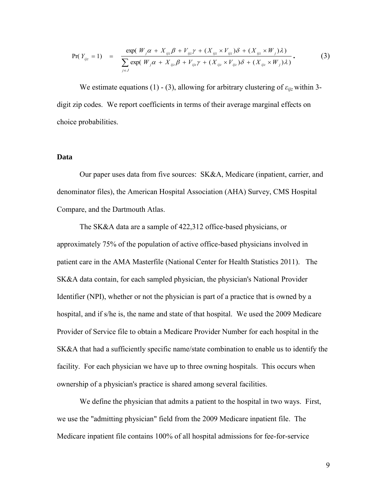$$
Pr(Y_{ijz} = 1) = \frac{\exp(W_j \alpha + X_{ijz}\beta + V_{ijz}\gamma + (X_{ijz} \times V_{ijz})\delta + (X_{ijz} \times W_j)\lambda)}{\sum_{j \in J} \exp(W_j \alpha + X_{ijz}\beta + V_{ijz}\gamma + (X_{ijz} \times V_{ijz})\delta + (X_{ijz} \times W_j)\lambda)}.
$$
(3)

We estimate equations (1) - (3), allowing for arbitrary clustering of  $\varepsilon_{ii}$  within 3digit zip codes. We report coefficients in terms of their average marginal effects on choice probabilities.

#### **Data**

Our paper uses data from five sources: SK&A, Medicare (inpatient, carrier, and denominator files), the American Hospital Association (AHA) Survey, CMS Hospital Compare, and the Dartmouth Atlas.

The SK&A data are a sample of 422,312 office-based physicians, or approximately 75% of the population of active office-based physicians involved in patient care in the AMA Masterfile (National Center for Health Statistics 2011). The SK&A data contain, for each sampled physician, the physician's National Provider Identifier (NPI), whether or not the physician is part of a practice that is owned by a hospital, and if s/he is, the name and state of that hospital. We used the 2009 Medicare Provider of Service file to obtain a Medicare Provider Number for each hospital in the SK&A that had a sufficiently specific name/state combination to enable us to identify the facility. For each physician we have up to three owning hospitals. This occurs when ownership of a physician's practice is shared among several facilities.

We define the physician that admits a patient to the hospital in two ways. First, we use the "admitting physician" field from the 2009 Medicare inpatient file. The Medicare inpatient file contains 100% of all hospital admissions for fee-for-service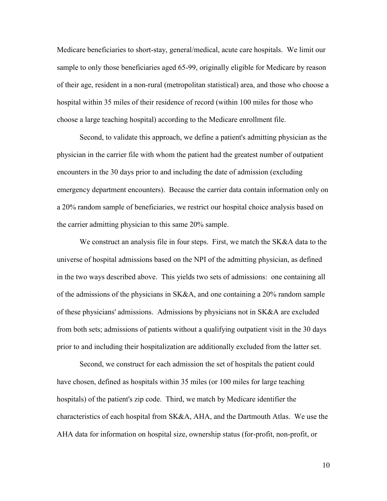Medicare beneficiaries to short-stay, general/medical, acute care hospitals. We limit our sample to only those beneficiaries aged 65-99, originally eligible for Medicare by reason of their age, resident in a non-rural (metropolitan statistical) area, and those who choose a hospital within 35 miles of their residence of record (within 100 miles for those who choose a large teaching hospital) according to the Medicare enrollment file.

Second, to validate this approach, we define a patient's admitting physician as the physician in the carrier file with whom the patient had the greatest number of outpatient encounters in the 30 days prior to and including the date of admission (excluding emergency department encounters). Because the carrier data contain information only on a 20% random sample of beneficiaries, we restrict our hospital choice analysis based on the carrier admitting physician to this same 20% sample.

We construct an analysis file in four steps. First, we match the SK&A data to the universe of hospital admissions based on the NPI of the admitting physician, as defined in the two ways described above. This yields two sets of admissions: one containing all of the admissions of the physicians in SK&A, and one containing a 20% random sample of these physicians' admissions. Admissions by physicians not in SK&A are excluded from both sets; admissions of patients without a qualifying outpatient visit in the 30 days prior to and including their hospitalization are additionally excluded from the latter set.

Second, we construct for each admission the set of hospitals the patient could have chosen, defined as hospitals within 35 miles (or 100 miles for large teaching hospitals) of the patient's zip code. Third, we match by Medicare identifier the characteristics of each hospital from SK&A, AHA, and the Dartmouth Atlas. We use the AHA data for information on hospital size, ownership status (for-profit, non-profit, or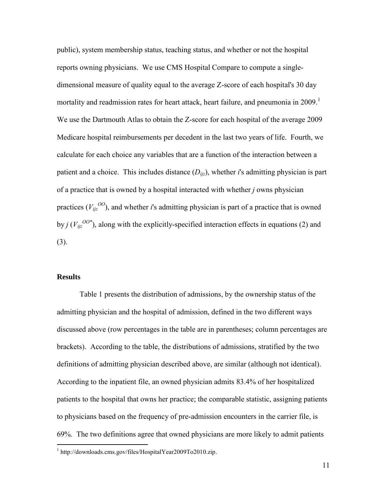public), system membership status, teaching status, and whether or not the hospital reports owning physicians. We use CMS Hospital Compare to compute a singledimensional measure of quality equal to the average Z-score of each hospital's 30 day mortality and readmission rates for heart attack, heart failure, and pneumonia in 2009.<sup>1</sup> We use the Dartmouth Atlas to obtain the Z-score for each hospital of the average 2009 Medicare hospital reimbursements per decedent in the last two years of life. Fourth, we calculate for each choice any variables that are a function of the interaction between a patient and a choice. This includes distance  $(D_{ijz})$ , whether *i*'s admitting physician is part of a practice that is owned by a hospital interacted with whether *j* owns physician practices  $(V_{ij}^{OO})$ , and whether *i*'s admitting physician is part of a practice that is owned by *j* ( $V_{ijz}^{OO*}$ ), along with the explicitly-specified interaction effects in equations (2) and (3).

#### **Results**

 $\overline{a}$ 

Table 1 presents the distribution of admissions, by the ownership status of the admitting physician and the hospital of admission, defined in the two different ways discussed above (row percentages in the table are in parentheses; column percentages are brackets). According to the table, the distributions of admissions, stratified by the two definitions of admitting physician described above, are similar (although not identical). According to the inpatient file, an owned physician admits 83.4% of her hospitalized patients to the hospital that owns her practice; the comparable statistic, assigning patients to physicians based on the frequency of pre-admission encounters in the carrier file, is 69%. The two definitions agree that owned physicians are more likely to admit patients

<sup>&</sup>lt;sup>1</sup> http://downloads.cms.gov/files/HospitalYear2009To2010.zip.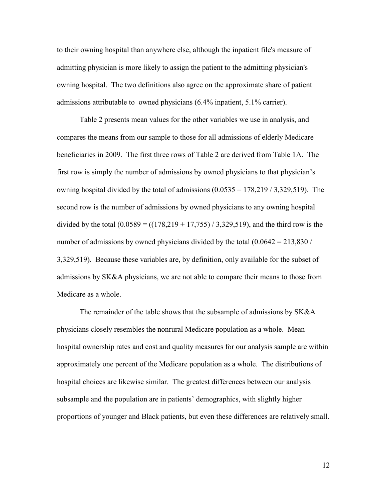to their owning hospital than anywhere else, although the inpatient file's measure of admitting physician is more likely to assign the patient to the admitting physician's owning hospital. The two definitions also agree on the approximate share of patient admissions attributable to owned physicians (6.4% inpatient, 5.1% carrier).

Table 2 presents mean values for the other variables we use in analysis, and compares the means from our sample to those for all admissions of elderly Medicare beneficiaries in 2009. The first three rows of Table 2 are derived from Table 1A. The first row is simply the number of admissions by owned physicians to that physician's owning hospital divided by the total of admissions  $(0.0535 = 178,219 / 3,329,519)$ . The second row is the number of admissions by owned physicians to any owning hospital divided by the total  $(0.0589 = ((178,219 + 17,755) / 3,329,519)$ , and the third row is the number of admissions by owned physicians divided by the total  $(0.0642 = 213,830/$ 3,329,519). Because these variables are, by definition, only available for the subset of admissions by SK&A physicians, we are not able to compare their means to those from Medicare as a whole.

The remainder of the table shows that the subsample of admissions by SK&A physicians closely resembles the nonrural Medicare population as a whole. Mean hospital ownership rates and cost and quality measures for our analysis sample are within approximately one percent of the Medicare population as a whole. The distributions of hospital choices are likewise similar. The greatest differences between our analysis subsample and the population are in patients' demographics, with slightly higher proportions of younger and Black patients, but even these differences are relatively small.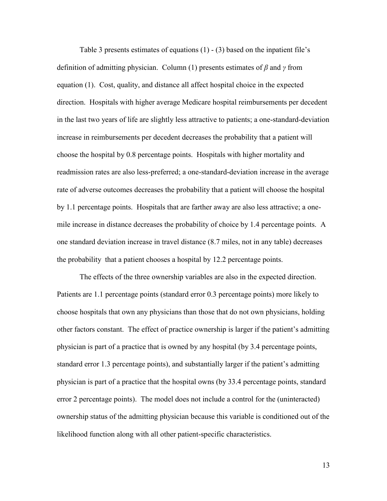Table 3 presents estimates of equations (1) - (3) based on the inpatient file's definition of admitting physician. Column (1) presents estimates of *β* and *γ* from equation (1). Cost, quality, and distance all affect hospital choice in the expected direction. Hospitals with higher average Medicare hospital reimbursements per decedent in the last two years of life are slightly less attractive to patients; a one-standard-deviation increase in reimbursements per decedent decreases the probability that a patient will choose the hospital by 0.8 percentage points. Hospitals with higher mortality and readmission rates are also less-preferred; a one-standard-deviation increase in the average rate of adverse outcomes decreases the probability that a patient will choose the hospital by 1.1 percentage points. Hospitals that are farther away are also less attractive; a onemile increase in distance decreases the probability of choice by 1.4 percentage points. A one standard deviation increase in travel distance (8.7 miles, not in any table) decreases the probability that a patient chooses a hospital by 12.2 percentage points.

The effects of the three ownership variables are also in the expected direction. Patients are 1.1 percentage points (standard error 0.3 percentage points) more likely to choose hospitals that own any physicians than those that do not own physicians, holding other factors constant. The effect of practice ownership is larger if the patient's admitting physician is part of a practice that is owned by any hospital (by 3.4 percentage points, standard error 1.3 percentage points), and substantially larger if the patient's admitting physician is part of a practice that the hospital owns (by 33.4 percentage points, standard error 2 percentage points). The model does not include a control for the (uninteracted) ownership status of the admitting physician because this variable is conditioned out of the likelihood function along with all other patient-specific characteristics.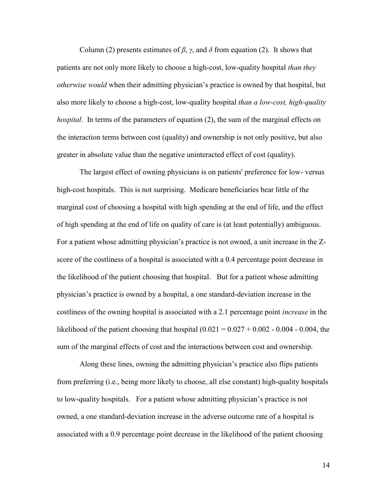Column (2) presents estimates of  $\beta$ ,  $\gamma$ , and  $\delta$  from equation (2). It shows that patients are not only more likely to choose a high-cost, low-quality hospital *than they otherwise would* when their admitting physician's practice is owned by that hospital, but also more likely to choose a high-cost, low-quality hospital *than a low-cost, high-quality hospital*. In terms of the parameters of equation (2), the sum of the marginal effects on the interaction terms between cost (quality) and ownership is not only positive, but also greater in absolute value than the negative uninteracted effect of cost (quality).

The largest effect of owning physicians is on patients' preference for low- versus high-cost hospitals. This is not surprising. Medicare beneficiaries bear little of the marginal cost of choosing a hospital with high spending at the end of life, and the effect of high spending at the end of life on quality of care is (at least potentially) ambiguous. For a patient whose admitting physician's practice is not owned, a unit increase in the Zscore of the costliness of a hospital is associated with a 0.4 percentage point decrease in the likelihood of the patient choosing that hospital. But for a patient whose admitting physician's practice is owned by a hospital, a one standard-deviation increase in the costliness of the owning hospital is associated with a 2.1 percentage point *increase* in the likelihood of the patient choosing that hospital  $(0.021 = 0.027 + 0.002 - 0.004 - 0.004$ , the sum of the marginal effects of cost and the interactions between cost and ownership.

Along these lines, owning the admitting physician's practice also flips patients from preferring (i.e., being more likely to choose, all else constant) high-quality hospitals to low-quality hospitals. For a patient whose admitting physician's practice is not owned, a one standard-deviation increase in the adverse outcome rate of a hospital is associated with a 0.9 percentage point decrease in the likelihood of the patient choosing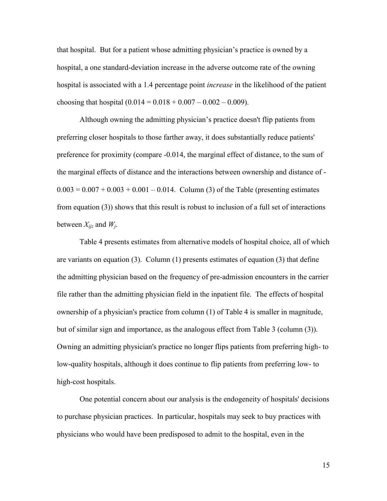that hospital. But for a patient whose admitting physician's practice is owned by a hospital, a one standard-deviation increase in the adverse outcome rate of the owning hospital is associated with a 1.4 percentage point *increase* in the likelihood of the patient choosing that hospital  $(0.014 = 0.018 + 0.007 - 0.002 - 0.009)$ .

Although owning the admitting physician's practice doesn't flip patients from preferring closer hospitals to those farther away, it does substantially reduce patients' preference for proximity (compare -0.014, the marginal effect of distance, to the sum of the marginal effects of distance and the interactions between ownership and distance of -  $0.003 = 0.007 + 0.003 + 0.001 - 0.014$ . Column (3) of the Table (presenting estimates from equation (3)) shows that this result is robust to inclusion of a full set of interactions between *Xijz* and *W<sup>j</sup>* .

Table 4 presents estimates from alternative models of hospital choice, all of which are variants on equation (3). Column (1) presents estimates of equation (3) that define the admitting physician based on the frequency of pre-admission encounters in the carrier file rather than the admitting physician field in the inpatient file. The effects of hospital ownership of a physician's practice from column (1) of Table 4 is smaller in magnitude, but of similar sign and importance, as the analogous effect from Table 3 (column (3)). Owning an admitting physician's practice no longer flips patients from preferring high- to low-quality hospitals, although it does continue to flip patients from preferring low- to high-cost hospitals.

One potential concern about our analysis is the endogeneity of hospitals' decisions to purchase physician practices. In particular, hospitals may seek to buy practices with physicians who would have been predisposed to admit to the hospital, even in the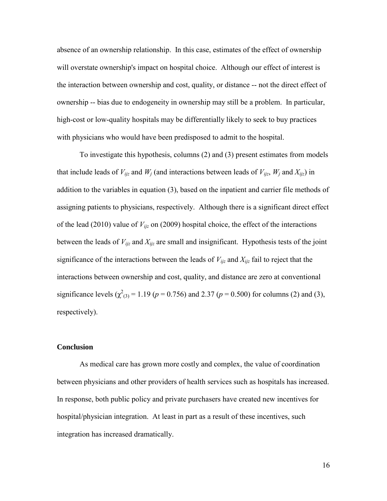absence of an ownership relationship. In this case, estimates of the effect of ownership will overstate ownership's impact on hospital choice. Although our effect of interest is the interaction between ownership and cost, quality, or distance -- not the direct effect of ownership -- bias due to endogeneity in ownership may still be a problem. In particular, high-cost or low-quality hospitals may be differentially likely to seek to buy practices with physicians who would have been predisposed to admit to the hospital.

To investigate this hypothesis, columns (2) and (3) present estimates from models that include leads of  $V_{ijz}$  and  $W_j$  (and interactions between leads of  $V_{ijz}$ ,  $W_j$  and  $X_{ijz}$ ) in addition to the variables in equation (3), based on the inpatient and carrier file methods of assigning patients to physicians, respectively. Although there is a significant direct effect of the lead (2010) value of *Vijz* on (2009) hospital choice, the effect of the interactions between the leads of  $V_{ijz}$  and  $X_{ijz}$  are small and insignificant. Hypothesis tests of the joint significance of the interactions between the leads of  $V_{ijz}$  and  $X_{ijz}$  fail to reject that the interactions between ownership and cost, quality, and distance are zero at conventional significance levels ( $\chi^2_{(3)}$  = 1.19 (*p* = 0.756) and 2.37 (*p* = 0.500) for columns (2) and (3), respectively).

#### **Conclusion**

As medical care has grown more costly and complex, the value of coordination between physicians and other providers of health services such as hospitals has increased. In response, both public policy and private purchasers have created new incentives for hospital/physician integration. At least in part as a result of these incentives, such integration has increased dramatically.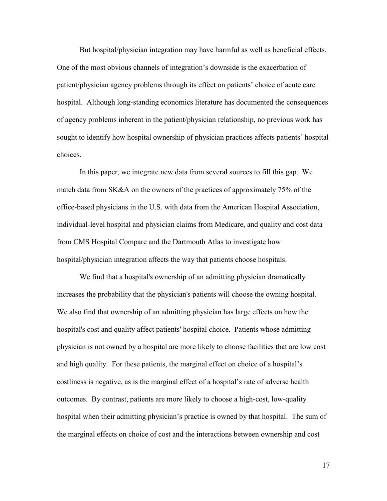But hospital/physician integration may have harmful as well as beneficial effects. One of the most obvious channels of integration's downside is the exacerbation of patient/physician agency problems through its effect on patients' choice of acute care hospital. Although long-standing economics literature has documented the consequences of agency problems inherent in the patient/physician relationship, no previous work has sought to identify how hospital ownership of physician practices affects patients' hospital choices.

In this paper, we integrate new data from several sources to fill this gap. We match data from SK&A on the owners of the practices of approximately 75% of the office-based physicians in the U.S. with data from the American Hospital Association, individual-level hospital and physician claims from Medicare, and quality and cost data from CMS Hospital Compare and the Dartmouth Atlas to investigate how hospital/physician integration affects the way that patients choose hospitals.

We find that a hospital's ownership of an admitting physician dramatically increases the probability that the physician's patients will choose the owning hospital. We also find that ownership of an admitting physician has large effects on how the hospital's cost and quality affect patients' hospital choice. Patients whose admitting physician is not owned by a hospital are more likely to choose facilities that are low cost and high quality. For these patients, the marginal effect on choice of a hospital's costliness is negative, as is the marginal effect of a hospital's rate of adverse health outcomes. By contrast, patients are more likely to choose a high-cost, low-quality hospital when their admitting physician's practice is owned by that hospital. The sum of the marginal effects on choice of cost and the interactions between ownership and cost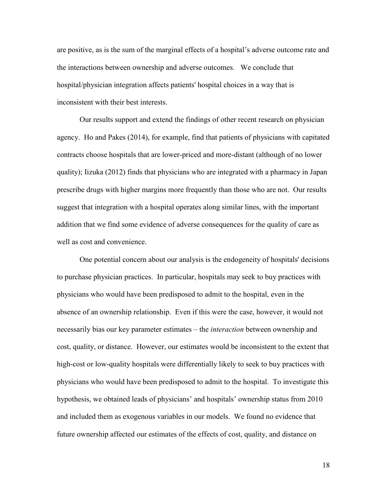are positive, as is the sum of the marginal effects of a hospital's adverse outcome rate and the interactions between ownership and adverse outcomes. We conclude that hospital/physician integration affects patients' hospital choices in a way that is inconsistent with their best interests.

Our results support and extend the findings of other recent research on physician agency. Ho and Pakes (2014), for example, find that patients of physicians with capitated contracts choose hospitals that are lower-priced and more-distant (although of no lower quality); Iizuka (2012) finds that physicians who are integrated with a pharmacy in Japan prescribe drugs with higher margins more frequently than those who are not. Our results suggest that integration with a hospital operates along similar lines, with the important addition that we find some evidence of adverse consequences for the quality of care as well as cost and convenience.

One potential concern about our analysis is the endogeneity of hospitals' decisions to purchase physician practices. In particular, hospitals may seek to buy practices with physicians who would have been predisposed to admit to the hospital, even in the absence of an ownership relationship. Even if this were the case, however, it would not necessarily bias our key parameter estimates – the *interaction* between ownership and cost, quality, or distance. However, our estimates would be inconsistent to the extent that high-cost or low-quality hospitals were differentially likely to seek to buy practices with physicians who would have been predisposed to admit to the hospital. To investigate this hypothesis, we obtained leads of physicians' and hospitals' ownership status from 2010 and included them as exogenous variables in our models. We found no evidence that future ownership affected our estimates of the effects of cost, quality, and distance on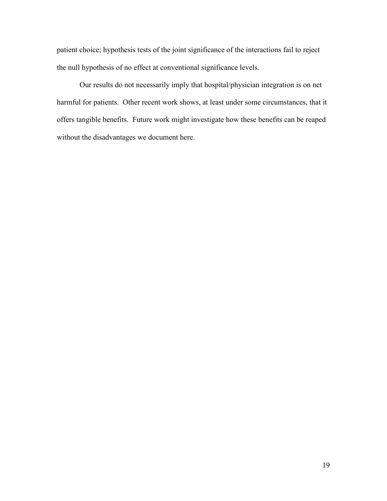patient choice; hypothesis tests of the joint significance of the interactions fail to reject the null hypothesis of no effect at conventional significance levels.

Our results do not necessarily imply that hospital/physician integration is on net harmful for patients. Other recent work shows, at least under some circumstances, that it offers tangible benefits. Future work might investigate how these benefits can be reaped without the disadvantages we document here.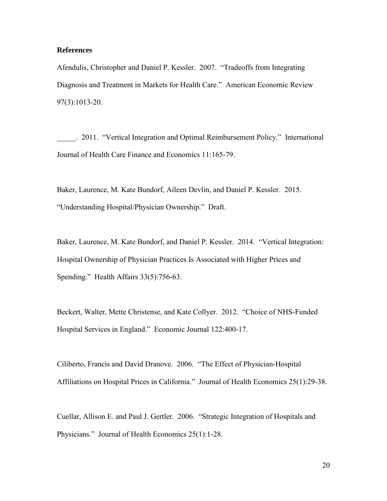#### **References**

Afendulis, Christopher and Daniel P. Kessler. 2007. "Tradeoffs from Integrating Diagnosis and Treatment in Markets for Health Care." American Economic Review 97(3):1013-20.

\_\_\_\_\_. 2011. "Vertical Integration and Optimal Reimbursement Policy." International Journal of Health Care Finance and Economics 11:165-79.

Baker, Laurence, M. Kate Bundorf, Aileen Devlin, and Daniel P. Kessler. 2015. "Understanding Hospital/Physician Ownership." Draft.

Baker, Laurence, M. Kate Bundorf, and Daniel P. Kessler. 2014. "Vertical Integration: Hospital Ownership of Physician Practices Is Associated with Higher Prices and Spending." Health Affairs 33(5):756-63.

Beckert, Walter, Mette Christense, and Kate Collyer. 2012. "Choice of NHS-Funded Hospital Services in England." Economic Journal 122:400-17.

Ciliberto, Francis and David Dranove. 2006. "The Effect of Physician-Hospital Affiliations on Hospital Prices in California." Journal of Health Economics 25(1):29-38.

Cuellar, Allison E. and Paul J. Gertler. 2006. "Strategic Integration of Hospitals and Physicians." Journal of Health Economics 25(1):1-28.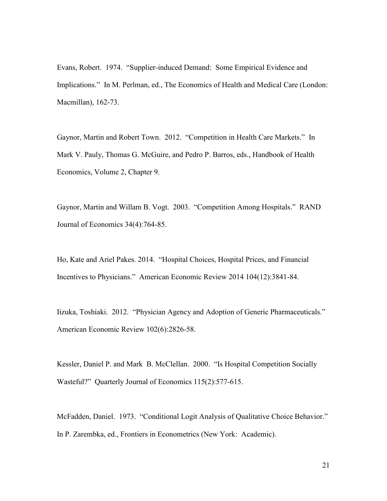Evans, Robert. 1974. "Supplier-induced Demand: Some Empirical Evidence and Implications." In M. Perlman, ed., The Economics of Health and Medical Care (London: Macmillan), 162-73.

Gaynor, Martin and Robert Town. 2012. "Competition in Health Care Markets." In Mark V. Pauly, Thomas G. McGuire, and Pedro P. Barros, eds., Handbook of Health Economics, Volume 2, Chapter 9.

Gaynor, Martin and Willam B. Vogt. 2003. "Competition Among Hospitals." RAND Journal of Economics 34(4):764-85.

Ho, Kate and Ariel Pakes. 2014. "Hospital Choices, Hospital Prices, and Financial Incentives to Physicians." American Economic Review 2014 104(12):3841-84.

Iizuka, Toshiaki. 2012. "Physician Agency and Adoption of Generic Pharmaceuticals." American Economic Review 102(6):2826-58.

Kessler, Daniel P. and Mark B. McClellan. 2000. "Is Hospital Competition Socially Wasteful?" Quarterly Journal of Economics 115(2):577-615.

McFadden, Daniel. 1973. "Conditional Logit Analysis of Qualitative Choice Behavior." In P. Zarembka, ed., Frontiers in Econometrics (New York: Academic).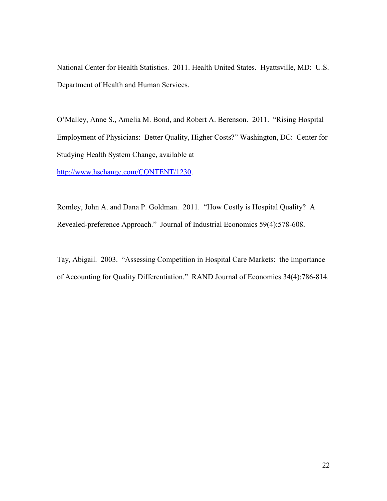National Center for Health Statistics. 2011. Health United States. Hyattsville, MD: U.S. Department of Health and Human Services.

O'Malley, Anne S., Amelia M. Bond, and Robert A. Berenson. 2011. "Rising Hospital Employment of Physicians: Better Quality, Higher Costs?" Washington, DC: Center for Studying Health System Change, available at

[http://www.hschange.com/CONTENT/1230.](http://www.hschange.com/CONTENT/1230)

Romley, John A. and Dana P. Goldman. 2011. "How Costly is Hospital Quality? A Revealed-preference Approach." Journal of Industrial Economics 59(4):578-608.

Tay, Abigail. 2003. "Assessing Competition in Hospital Care Markets: the Importance of Accounting for Quality Differentiation." RAND Journal of Economics 34(4):786-814.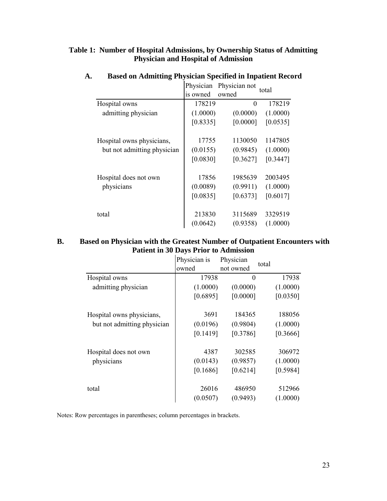## **Table 1: Number of Hospital Admissions, by Ownership Status of Admitting Physician and Hospital of Admission**

|                             | Physician | Physician not | total    |
|-----------------------------|-----------|---------------|----------|
|                             | is owned  | owned         |          |
| Hospital owns               | 178219    | $\Omega$      | 178219   |
| admitting physician         | (1.0000)  | (0.0000)      | (1.0000) |
|                             | [0.8335]  | [0.0000]      | [0.0535] |
| Hospital owns physicians,   | 17755     | 1130050       | 1147805  |
| but not admitting physician | (0.0155)  | (0.9845)      | (1.0000) |
|                             | [0.0830]  | [0.3627]      | [0.3447] |
| Hospital does not own       | 17856     | 1985639       | 2003495  |
| physicians                  | (0.0089)  | (0.9911)      | (1.0000) |
|                             | [0.0835]  | [0.6373]      | [0.6017] |
| total                       | 213830    | 3115689       | 3329519  |
|                             | (0.0642)  | (0.9358)      | (1.0000) |

# **A. Based on Admitting Physician Specified in Inpatient Record**

## **B. Based on Physician with the Greatest Number of Outpatient Encounters with Patient in 30 Days Prior to Admission**

|                             | Physician is<br>owned | Physician<br>not owned | total    |
|-----------------------------|-----------------------|------------------------|----------|
| Hospital owns               | 17938                 | $\theta$               | 17938    |
| admitting physician         | (1.0000)              | (0.0000)               | (1.0000) |
|                             | [0.6895]              | [0.0000]               | [0.0350] |
| Hospital owns physicians,   | 3691                  | 184365                 | 188056   |
| but not admitting physician | (0.0196)              | (0.9804)               | (1.0000) |
|                             | [0.1419]              | [0.3786]               | [0.3666] |
| Hospital does not own       | 4387                  | 302585                 | 306972   |
| physicians                  | (0.0143)              | (0.9857)               | (1.0000) |
|                             | [0.1686]              | [0.6214]               | [0.5984] |
| total                       | 26016                 | 486950                 | 512966   |
|                             | (0.0507)              | (0.9493)               | (1.0000) |

Notes: Row percentages in parentheses; column percentages in brackets.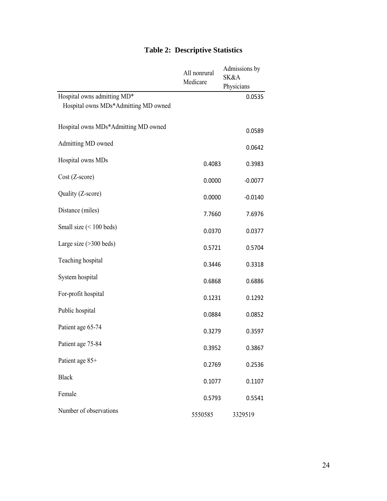|                                      | All nonrural<br>Medicare | Admissions by<br>SK&A<br>Physicians |
|--------------------------------------|--------------------------|-------------------------------------|
| Hospital owns admitting MD*          |                          | 0.0535                              |
| Hospital owns MDs*Admitting MD owned |                          |                                     |
| Hospital owns MDs*Admitting MD owned |                          | 0.0589                              |
| Admitting MD owned                   |                          | 0.0642                              |
| Hospital owns MDs                    | 0.4083                   | 0.3983                              |
| $Cost (Z-score)$                     | 0.0000                   | $-0.0077$                           |
| Quality (Z-score)                    | 0.0000                   | $-0.0140$                           |
| Distance (miles)                     | 7.7660                   | 7.6976                              |
| Small size $(< 100$ beds)            | 0.0370                   | 0.0377                              |
| Large size $(>300$ beds)             | 0.5721                   | 0.5704                              |
| Teaching hospital                    | 0.3446                   | 0.3318                              |
| System hospital                      | 0.6868                   | 0.6886                              |
| For-profit hospital                  | 0.1231                   | 0.1292                              |
| Public hospital                      | 0.0884                   | 0.0852                              |
| Patient age 65-74                    | 0.3279                   | 0.3597                              |
| Patient age 75-84                    | 0.3952                   | 0.3867                              |
| Patient age 85+                      | 0.2769                   | 0.2536                              |
| <b>Black</b>                         | 0.1077                   | 0.1107                              |
| Female                               | 0.5793                   | 0.5541                              |
| Number of observations               | 5550585                  | 3329519                             |

## **Table 2: Descriptive Statistics**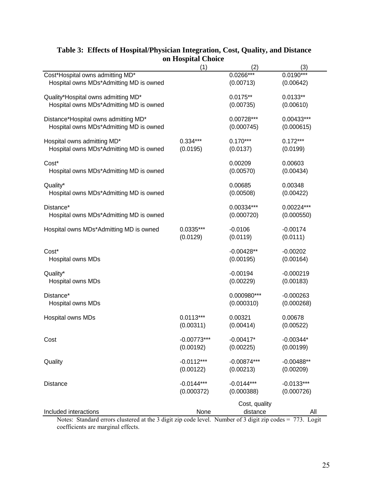| Table 3: Effects of Hospital/Physician Integration, Cost, Quality, and Distance                          |                           |                           |              |
|----------------------------------------------------------------------------------------------------------|---------------------------|---------------------------|--------------|
|                                                                                                          | on Hospital Choice<br>(1) | (2)                       | (3)          |
| Cost*Hospital owns admitting MD*                                                                         |                           | $0.0266***$               | $0.0190***$  |
| Hospital owns MDs*Admitting MD is owned                                                                  |                           | (0.00713)                 | (0.00642)    |
| Quality*Hospital owns admitting MD*                                                                      |                           | $0.0175**$                | $0.0133**$   |
| Hospital owns MDs*Admitting MD is owned                                                                  |                           | (0.00735)                 | (0.00610)    |
| Distance*Hospital owns admitting MD*                                                                     |                           | 0.00728***                | 0.00433***   |
| Hospital owns MDs*Admitting MD is owned                                                                  |                           | (0.000745)                | (0.000615)   |
| Hospital owns admitting MD*                                                                              | $0.334***$                | $0.170***$                | $0.172***$   |
| Hospital owns MDs*Admitting MD is owned                                                                  | (0.0195)                  | (0.0137)                  | (0.0199)     |
| Cost*                                                                                                    |                           | 0.00209                   | 0.00603      |
| Hospital owns MDs*Admitting MD is owned                                                                  |                           | (0.00570)                 | (0.00434)    |
| Quality*                                                                                                 |                           | 0.00685                   | 0.00348      |
| Hospital owns MDs*Admitting MD is owned                                                                  |                           | (0.00508)                 | (0.00422)    |
| Distance*                                                                                                |                           | 0.00334***                | 0.00224***   |
| Hospital owns MDs*Admitting MD is owned                                                                  |                           | (0.000720)                | (0.000550)   |
| Hospital owns MDs*Admitting MD is owned                                                                  | $0.0335***$               | $-0.0106$                 | $-0.00174$   |
|                                                                                                          | (0.0129)                  | (0.0119)                  | (0.0111)     |
| Cost*                                                                                                    |                           | $-0.00428**$              | $-0.00202$   |
| Hospital owns MDs                                                                                        |                           | (0.00195)                 | (0.00164)    |
| Quality*                                                                                                 |                           | $-0.00194$                | $-0.000219$  |
| Hospital owns MDs                                                                                        |                           | (0.00229)                 | (0.00183)    |
| Distance*                                                                                                |                           | 0.000980***               | $-0.000263$  |
| Hospital owns MDs                                                                                        |                           | (0.000310)                | (0.000268)   |
| Hospital owns MDs                                                                                        | $0.0113***$               | 0.00321                   | 0.00678      |
|                                                                                                          | (0.00311)                 | (0.00414)                 | (0.00522)    |
| Cost                                                                                                     | $-0.00773***$             | $-0.00417*$               | $-0.00344*$  |
|                                                                                                          | (0.00192)                 | (0.00225)                 | (0.00199)    |
| Quality                                                                                                  | $-0.0112***$              | $-0.00874***$             | $-0.00488**$ |
|                                                                                                          | (0.00122)                 | (0.00213)                 | (0.00209)    |
| <b>Distance</b>                                                                                          | $-0.0144***$              | $-0.0144***$              | $-0.0133***$ |
|                                                                                                          | (0.000372)                | (0.000388)                | (0.000726)   |
| Included interactions                                                                                    | None                      | Cost, quality<br>distance |              |
| Notes: Standard errors clustered at the 3 digit zip code level. Number of 3 digit zip codes = 773. Logit |                           |                           | All          |

## **Table 3: Effects of Hospital/Physician Integration, Cost, Quality, and Distance on Hospital Choice**

the 3 digit zip code level. Number of 3 digit zip codes =  $773$ . Logit coefficients are marginal effects.